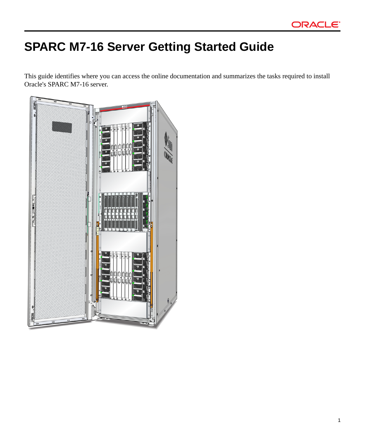# **SPARC M7-16 Server Getting Started Guide**

This guide identifies where you can access the online documentation and summarizes the tasks required to install Oracle's SPARC M7-16 server.

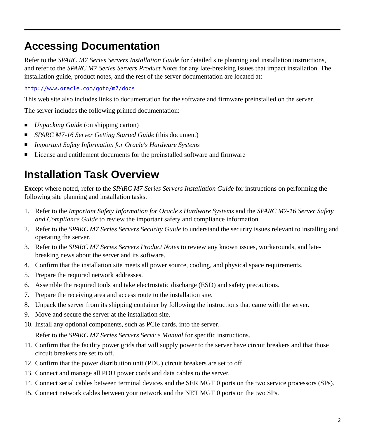## **Accessing Documentation**

Refer to the *SPARC M7 Series Servers Installation Guide* for detailed site planning and installation instructions, and refer to the *SPARC M7 Series Servers Product Notes* for any late-breaking issues that impact installation. The installation guide, product notes, and the rest of the server documentation are located at:

### <http://www.oracle.com/goto/m7/docs>

This web site also includes links to documentation for the software and firmware preinstalled on the server.

The server includes the following printed documentation:

- *Unpacking Guide* (on shipping carton)
- *SPARC M7-16 Server Getting Started Guide* (this document)
- *Important Safety Information for Oracle's Hardware Systems*
- License and entitlement documents for the preinstalled software and firmware

## **Installation Task Overview**

Except where noted, refer to the *SPARC M7 Series Servers Installation Guide* for instructions on performing the following site planning and installation tasks.

- 1. Refer to the *Important Safety Information for Oracle's Hardware Systems* and the *SPARC M7-16 Server Safety and Compliance Guide* to review the important safety and compliance information.
- 2. Refer to the *SPARC M7 Series Servers Security Guide* to understand the security issues relevant to installing and operating the server.
- 3. Refer to the *SPARC M7 Series Servers Product Notes* to review any known issues, workarounds, and latebreaking news about the server and its software.
- 4. Confirm that the installation site meets all power source, cooling, and physical space requirements.
- 5. Prepare the required network addresses.
- 6. Assemble the required tools and take electrostatic discharge (ESD) and safety precautions.
- 7. Prepare the receiving area and access route to the installation site.
- 8. Unpack the server from its shipping container by following the instructions that came with the server.
- 9. Move and secure the server at the installation site.
- 10. Install any optional components, such as PCIe cards, into the server.

Refer to the *SPARC M7 Series Servers Service Manual* for specific instructions.

- 11. Confirm that the facility power grids that will supply power to the server have circuit breakers and that those circuit breakers are set to off.
- 12. Confirm that the power distribution unit (PDU) circuit breakers are set to off.
- 13. Connect and manage all PDU power cords and data cables to the server.
- 14. Connect serial cables between terminal devices and the SER MGT 0 ports on the two service processors (SPs).
- 15. Connect network cables between your network and the NET MGT 0 ports on the two SPs.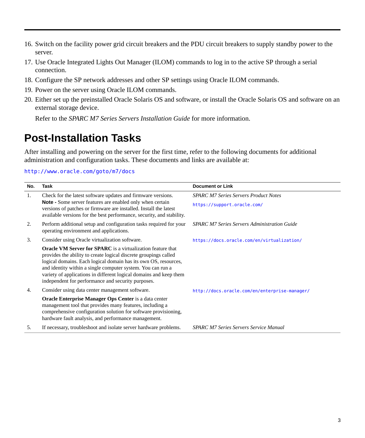- 16. Switch on the facility power grid circuit breakers and the PDU circuit breakers to supply standby power to the server.
- 17. Use Oracle Integrated Lights Out Manager (ILOM) commands to log in to the active SP through a serial connection.
- 18. Configure the SP network addresses and other SP settings using Oracle ILOM commands.
- 19. Power on the server using Oracle ILOM commands.
- 20. Either set up the preinstalled Oracle Solaris OS and software, or install the Oracle Solaris OS and software on an external storage device.

Refer to the *SPARC M7 Series Servers Installation Guide* for more information.

### **Post-Installation Tasks**

After installing and powering on the server for the first time, refer to the following documents for additional administration and configuration tasks. These documents and links are available at:

#### <http://www.oracle.com/goto/m7/docs>

| No. | Task                                                                                                                                                                                                                                                                                                                                                                                                 | <b>Document or Link</b>                       |
|-----|------------------------------------------------------------------------------------------------------------------------------------------------------------------------------------------------------------------------------------------------------------------------------------------------------------------------------------------------------------------------------------------------------|-----------------------------------------------|
| 1.  | Check for the latest software updates and firmware versions.<br>Note - Some server features are enabled only when certain<br>versions of patches or firmware are installed. Install the latest<br>available versions for the best performance, security, and stability.                                                                                                                              | <b>SPARC M7 Series Servers Product Notes</b>  |
|     |                                                                                                                                                                                                                                                                                                                                                                                                      | https://support.oracle.com/                   |
| 2.  | Perform additional setup and configuration tasks required for your<br>operating environment and applications.                                                                                                                                                                                                                                                                                        | SPARC M7 Series Servers Administration Guide  |
| 3.  | Consider using Oracle virtualization software.                                                                                                                                                                                                                                                                                                                                                       | https://docs.oracle.com/en/virtualization/    |
|     | <b>Oracle VM Server for SPARC</b> is a virtualization feature that<br>provides the ability to create logical discrete groupings called<br>logical domains. Each logical domain has its own OS, resources,<br>and identity within a single computer system. You can run a<br>variety of applications in different logical domains and keep them<br>independent for performance and security purposes. |                                               |
| 4.  | Consider using data center management software.                                                                                                                                                                                                                                                                                                                                                      | http://docs.oracle.com/en/enterprise-manager/ |
|     | Oracle Enterprise Manager Ops Center is a data center<br>management tool that provides many features, including a<br>comprehensive configuration solution for software provisioning,<br>hardware fault analysis, and performance management.                                                                                                                                                         |                                               |
| 5.  | If necessary, troubleshoot and isolate server hardware problems.                                                                                                                                                                                                                                                                                                                                     | SPARC M7 Series Servers Service Manual        |